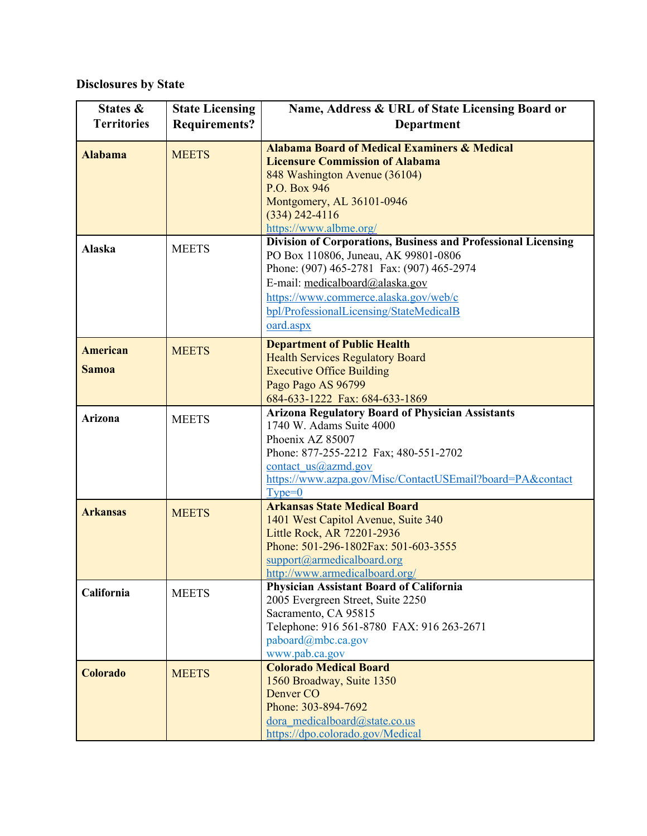## **Disclosures by State**

| States &                        | <b>State Licensing</b> | Name, Address & URL of State Licensing Board or                                                                                                                                                                                                                                               |
|---------------------------------|------------------------|-----------------------------------------------------------------------------------------------------------------------------------------------------------------------------------------------------------------------------------------------------------------------------------------------|
| <b>Territories</b>              | <b>Requirements?</b>   | <b>Department</b>                                                                                                                                                                                                                                                                             |
| <b>Alabama</b>                  | <b>MEETS</b>           | <b>Alabama Board of Medical Examiners &amp; Medical</b><br><b>Licensure Commission of Alabama</b><br>848 Washington Avenue (36104)<br>P.O. Box 946<br>Montgomery, AL 36101-0946<br>$(334)$ 242-4116<br>https://www.albme.org/                                                                 |
| Alaska                          | <b>MEETS</b>           | <b>Division of Corporations, Business and Professional Licensing</b><br>PO Box 110806, Juneau, AK 99801-0806<br>Phone: (907) 465-2781 Fax: (907) 465-2974<br>E-mail: medicalboard@alaska.gov<br>https://www.commerce.alaska.gov/web/c<br>bpl/ProfessionalLicensing/StateMedicalB<br>oard.aspx |
| <b>American</b><br><b>Samoa</b> | <b>MEETS</b>           | <b>Department of Public Health</b><br><b>Health Services Regulatory Board</b><br><b>Executive Office Building</b><br>Pago Pago AS 96799<br>684-633-1222 Fax: 684-633-1869                                                                                                                     |
| <b>Arizona</b>                  | <b>MEETS</b>           | <b>Arizona Regulatory Board of Physician Assistants</b><br>1740 W. Adams Suite 4000<br>Phoenix AZ 85007<br>Phone: 877-255-2212 Fax; 480-551-2702<br>contact $us@azmd.gov$<br>https://www.azpa.gov/Misc/ContactUSEmail?board=PA&contact<br>$Type=0$                                            |
| <b>Arkansas</b>                 | <b>MEETS</b>           | <b>Arkansas State Medical Board</b><br>1401 West Capitol Avenue, Suite 340<br>Little Rock, AR 72201-2936<br>Phone: 501-296-1802Fax: 501-603-3555<br>support@armedicalboard.org<br>http://www.armedicalboard.org/                                                                              |
| California                      | <b>MEETS</b>           | Physician Assistant Board of California<br>2005 Evergreen Street, Suite 2250<br>Sacramento, CA 95815<br>Telephone: 916 561-8780 FAX: 916 263-2671<br>paboard@mbc.ca.gov<br>www.pab.ca.gov                                                                                                     |
| Colorado                        | <b>MEETS</b>           | <b>Colorado Medical Board</b><br>1560 Broadway, Suite 1350<br>Denver CO<br>Phone: 303-894-7692<br>dora medicalboard@state.co.us<br>https://dpo.colorado.gov/Medical                                                                                                                           |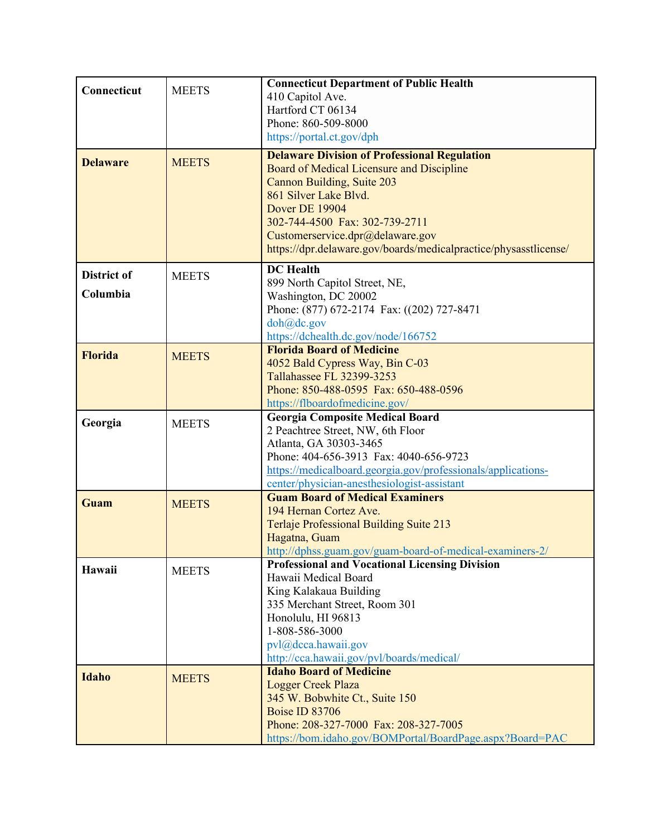| Connecticut             | <b>MEETS</b> | <b>Connecticut Department of Public Health</b><br>410 Capitol Ave.<br>Hartford CT 06134<br>Phone: 860-509-8000<br>https://portal.ct.gov/dph                                                                                                                                                                         |
|-------------------------|--------------|---------------------------------------------------------------------------------------------------------------------------------------------------------------------------------------------------------------------------------------------------------------------------------------------------------------------|
| <b>Delaware</b>         | <b>MEETS</b> | <b>Delaware Division of Professional Regulation</b><br>Board of Medical Licensure and Discipline<br>Cannon Building, Suite 203<br>861 Silver Lake Blvd.<br>Dover DE 19904<br>302-744-4500 Fax: 302-739-2711<br>Customerservice.dpr@delaware.gov<br>https://dpr.delaware.gov/boards/medicalpractice/physasstlicense/ |
| District of<br>Columbia | <b>MEETS</b> | <b>DC</b> Health<br>899 North Capitol Street, NE,<br>Washington, DC 20002<br>Phone: (877) 672-2174 Fax: ((202) 727-8471<br>doh@dc.gov<br>https://dchealth.dc.gov/node/166752                                                                                                                                        |
| <b>Florida</b>          | <b>MEETS</b> | <b>Florida Board of Medicine</b><br>4052 Bald Cypress Way, Bin C-03<br>Tallahassee FL 32399-3253<br>Phone: 850-488-0595 Fax: 650-488-0596<br>https://flboardofmedicine.gov/                                                                                                                                         |
| Georgia                 | <b>MEETS</b> | <b>Georgia Composite Medical Board</b><br>2 Peachtree Street, NW, 6th Floor<br>Atlanta, GA 30303-3465<br>Phone: 404-656-3913 Fax: 4040-656-9723<br>https://medicalboard.georgia.gov/professionals/applications-<br>center/physician-anesthesiologist-assistant                                                      |
| Guam                    | <b>MEETS</b> | <b>Guam Board of Medical Examiners</b><br>194 Hernan Cortez Ave.<br>Terlaje Professional Building Suite 213<br>Hagatna, Guam<br>http://dphss.guam.gov/guam-board-of-medical-examiners-2/                                                                                                                            |
| Hawaii                  | <b>MEETS</b> | <b>Professional and Vocational Licensing Division</b><br>Hawaii Medical Board<br>King Kalakaua Building<br>335 Merchant Street, Room 301<br>Honolulu, HI 96813<br>1-808-586-3000<br>pvl@dcca.hawaii.gov<br>http://cca.hawaii.gov/pvl/boards/medical/                                                                |
| <b>Idaho</b>            | <b>MEETS</b> | <b>Idaho Board of Medicine</b><br><b>Logger Creek Plaza</b><br>345 W. Bobwhite Ct., Suite 150<br><b>Boise ID 83706</b><br>Phone: 208-327-7000 Fax: 208-327-7005<br>https://bom.idaho.gov/BOMPortal/BoardPage.aspx?Board=PAC                                                                                         |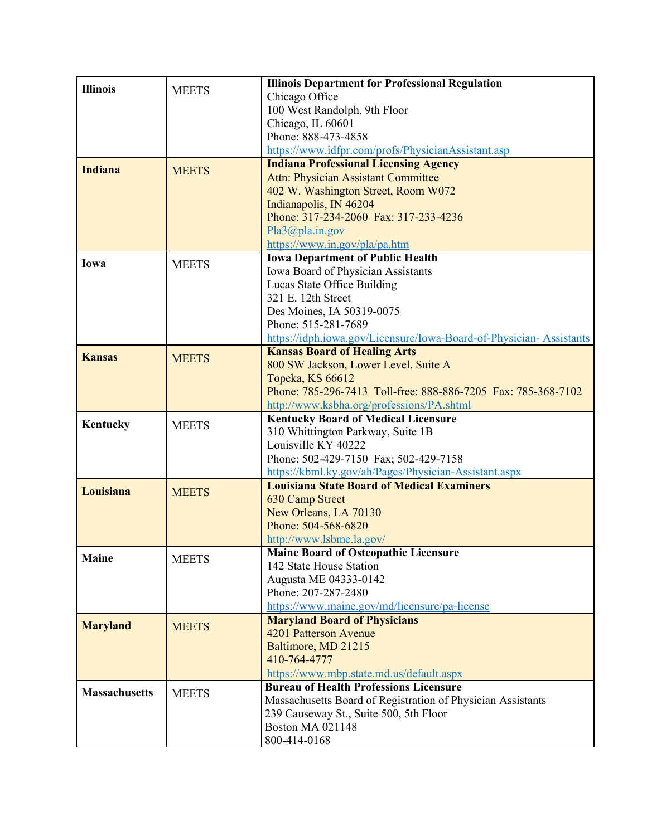| <b>Illinois</b>      |              | <b>Illinois Department for Professional Regulation</b>                                                    |
|----------------------|--------------|-----------------------------------------------------------------------------------------------------------|
|                      | <b>MEETS</b> | Chicago Office                                                                                            |
|                      |              | 100 West Randolph, 9th Floor                                                                              |
|                      |              | Chicago, IL 60601                                                                                         |
|                      |              | Phone: 888-473-4858                                                                                       |
|                      |              | https://www.idfpr.com/profs/PhysicianAssistant.asp                                                        |
| <b>Indiana</b>       | <b>MEETS</b> | <b>Indiana Professional Licensing Agency</b>                                                              |
|                      |              | <b>Attn: Physician Assistant Committee</b>                                                                |
|                      |              | 402 W. Washington Street, Room W072                                                                       |
|                      |              | Indianapolis, IN 46204                                                                                    |
|                      |              | Phone: 317-234-2060 Fax: 317-233-4236                                                                     |
|                      |              | Pla3@pla.in.gov                                                                                           |
|                      |              | https://www.in.gov/pla/pa.htm                                                                             |
| Iowa                 | <b>MEETS</b> | <b>Iowa Department of Public Health</b>                                                                   |
|                      |              | Iowa Board of Physician Assistants                                                                        |
|                      |              | Lucas State Office Building                                                                               |
|                      |              | 321 E. 12th Street                                                                                        |
|                      |              | Des Moines, IA 50319-0075                                                                                 |
|                      |              | Phone: 515-281-7689                                                                                       |
|                      |              | https://idph.iowa.gov/Licensure/Iowa-Board-of-Physician-Assistants<br><b>Kansas Board of Healing Arts</b> |
| <b>Kansas</b>        | <b>MEETS</b> | 800 SW Jackson, Lower Level, Suite A                                                                      |
|                      |              | Topeka, KS 66612                                                                                          |
|                      |              | Phone: 785-296-7413 Toll-free: 888-886-7205 Fax: 785-368-7102                                             |
|                      |              | http://www.ksbha.org/professions/PA.shtml                                                                 |
|                      |              | <b>Kentucky Board of Medical Licensure</b>                                                                |
| Kentucky             | <b>MEETS</b> | 310 Whittington Parkway, Suite 1B                                                                         |
|                      |              | Louisville KY 40222                                                                                       |
|                      |              | Phone: 502-429-7150 Fax; 502-429-7158                                                                     |
|                      |              | https://kbml.ky.gov/ah/Pages/Physician-Assistant.aspx                                                     |
| Louisiana            | <b>MEETS</b> | <b>Louisiana State Board of Medical Examiners</b>                                                         |
|                      |              | 630 Camp Street                                                                                           |
|                      |              | New Orleans, LA 70130                                                                                     |
|                      |              | Phone: 504-568-6820                                                                                       |
|                      |              | http://www.lsbme.la.gov/                                                                                  |
| <b>Maine</b>         | <b>MEETS</b> | <b>Maine Board of Osteopathic Licensure</b>                                                               |
|                      |              | 142 State House Station                                                                                   |
|                      |              | Augusta ME 04333-0142<br>Phone: 207-287-2480                                                              |
|                      |              | https://www.maine.gov/md/licensure/pa-license                                                             |
|                      |              | <b>Maryland Board of Physicians</b>                                                                       |
| <b>Maryland</b>      | <b>MEETS</b> | 4201 Patterson Avenue                                                                                     |
|                      |              | Baltimore, MD 21215                                                                                       |
|                      |              | 410-764-4777                                                                                              |
|                      |              | https://www.mbp.state.md.us/default.aspx                                                                  |
|                      |              | <b>Bureau of Health Professions Licensure</b>                                                             |
| <b>Massachusetts</b> | <b>MEETS</b> | Massachusetts Board of Registration of Physician Assistants                                               |
|                      |              | 239 Causeway St., Suite 500, 5th Floor                                                                    |
|                      |              | <b>Boston MA 021148</b>                                                                                   |
|                      |              | 800-414-0168                                                                                              |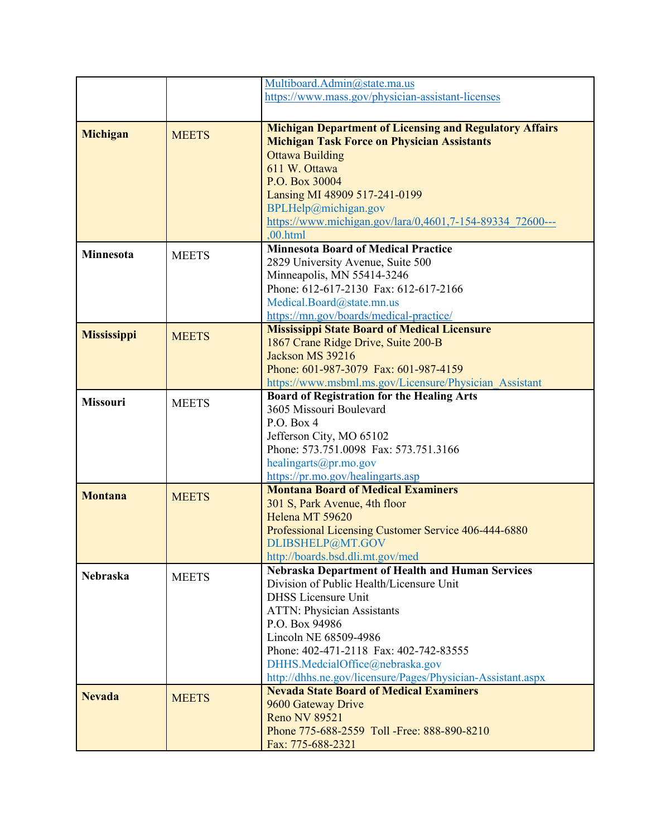|                    |              | Multiboard.Admin@state.ma.us                                                                                  |
|--------------------|--------------|---------------------------------------------------------------------------------------------------------------|
|                    |              | https://www.mass.gov/physician-assistant-licenses                                                             |
|                    |              |                                                                                                               |
|                    |              |                                                                                                               |
| <b>Michigan</b>    | <b>MEETS</b> | <b>Michigan Department of Licensing and Regulatory Affairs</b>                                                |
|                    |              | <b>Michigan Task Force on Physician Assistants</b>                                                            |
|                    |              | <b>Ottawa Building</b>                                                                                        |
|                    |              | 611 W. Ottawa                                                                                                 |
|                    |              | P.O. Box 30004                                                                                                |
|                    |              | Lansing MI 48909 517-241-0199                                                                                 |
|                    |              | BPLHelp@michigan.gov                                                                                          |
|                    |              | https://www.michigan.gov/lara/0,4601,7-154-89334 72600---                                                     |
|                    |              | .00.html                                                                                                      |
| Minnesota          | <b>MEETS</b> | <b>Minnesota Board of Medical Practice</b>                                                                    |
|                    |              | 2829 University Avenue, Suite 500                                                                             |
|                    |              | Minneapolis, MN 55414-3246                                                                                    |
|                    |              | Phone: 612-617-2130 Fax: 612-617-2166                                                                         |
|                    |              | Medical.Board@state.mn.us                                                                                     |
|                    |              | https://mn.gov/boards/medical-practice/                                                                       |
|                    |              | <b>Mississippi State Board of Medical Licensure</b>                                                           |
| <b>Mississippi</b> | <b>MEETS</b> | 1867 Crane Ridge Drive, Suite 200-B                                                                           |
|                    |              | Jackson MS 39216                                                                                              |
|                    |              | Phone: 601-987-3079 Fax: 601-987-4159                                                                         |
|                    |              | https://www.msbml.ms.gov/Licensure/Physician Assistant                                                        |
|                    |              | <b>Board of Registration for the Healing Arts</b>                                                             |
| <b>Missouri</b>    | <b>MEETS</b> | 3605 Missouri Boulevard                                                                                       |
|                    |              | P.O. Box 4                                                                                                    |
|                    |              | Jefferson City, MO 65102                                                                                      |
|                    |              | Phone: 573.751.0098 Fax: 573.751.3166                                                                         |
|                    |              | healingarts@pr.mo.gov                                                                                         |
|                    |              | https://pr.mo.gov/healingarts.asp                                                                             |
|                    |              | <b>Montana Board of Medical Examiners</b>                                                                     |
| <b>Montana</b>     | <b>MEETS</b> | 301 S, Park Avenue, 4th floor                                                                                 |
|                    |              | Helena MT 59620                                                                                               |
|                    |              | Professional Licensing Customer Service 406-444-6880                                                          |
|                    |              | DLIBSHELP@MT.GOV                                                                                              |
|                    |              | http://boards.bsd.dli.mt.gov/med                                                                              |
|                    |              | <b>Nebraska Department of Health and Human Services</b>                                                       |
| <b>Nebraska</b>    | <b>MEETS</b> | Division of Public Health/Licensure Unit                                                                      |
|                    |              | <b>DHSS</b> Licensure Unit                                                                                    |
|                    |              | <b>ATTN: Physician Assistants</b>                                                                             |
|                    |              | P.O. Box 94986                                                                                                |
|                    |              | Lincoln NE 68509-4986                                                                                         |
|                    |              | Phone: 402-471-2118 Fax: 402-742-83555                                                                        |
|                    |              | DHHS.MedcialOffice@nebraska.gov                                                                               |
|                    |              |                                                                                                               |
|                    |              | http://dhhs.ne.gov/licensure/Pages/Physician-Assistant.aspx<br><b>Nevada State Board of Medical Examiners</b> |
| <b>Nevada</b>      | <b>MEETS</b> |                                                                                                               |
|                    |              | 9600 Gateway Drive                                                                                            |
|                    |              | <b>Reno NV 89521</b>                                                                                          |
|                    |              | Phone 775-688-2559 Toll -Free: 888-890-8210                                                                   |
|                    |              | Fax: 775-688-2321                                                                                             |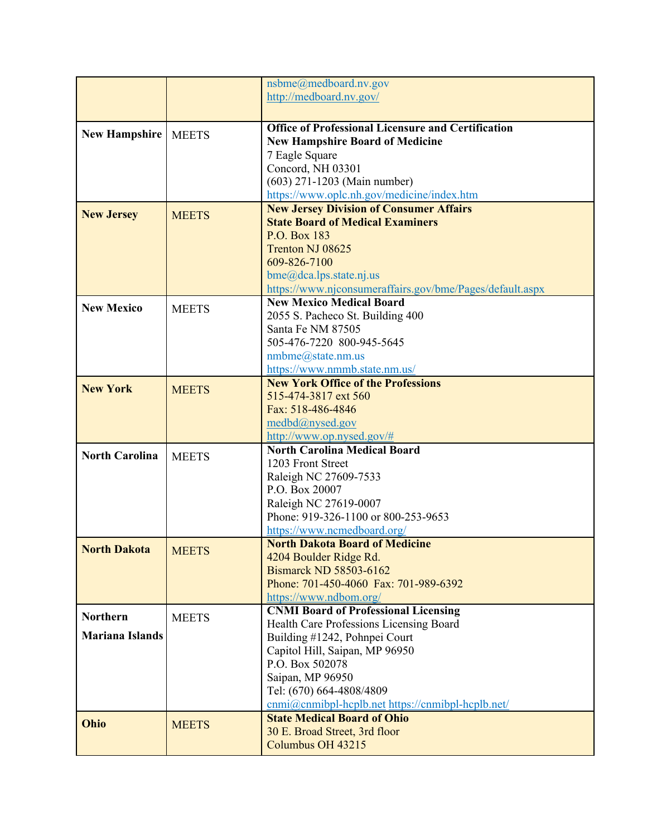|                        |              | nsbme@medboard.nv.gov<br>http://medboard.nv.gov/          |
|------------------------|--------------|-----------------------------------------------------------|
|                        |              |                                                           |
| <b>New Hampshire</b>   |              | <b>Office of Professional Licensure and Certification</b> |
|                        | <b>MEETS</b> | <b>New Hampshire Board of Medicine</b>                    |
|                        |              | 7 Eagle Square                                            |
|                        |              | Concord, NH 03301                                         |
|                        |              | (603) 271-1203 (Main number)                              |
|                        |              | https://www.oplc.nh.gov/medicine/index.htm                |
| <b>New Jersey</b>      | <b>MEETS</b> | <b>New Jersey Division of Consumer Affairs</b>            |
|                        |              | <b>State Board of Medical Examiners</b><br>P.O. Box 183   |
|                        |              | Trenton NJ 08625                                          |
|                        |              | 609-826-7100                                              |
|                        |              | bme@dea.lps. state.nj.us                                  |
|                        |              | https://www.njconsumeraffairs.gov/bme/Pages/default.aspx  |
| <b>New Mexico</b>      |              | <b>New Mexico Medical Board</b>                           |
|                        | <b>MEETS</b> | 2055 S. Pacheco St. Building 400                          |
|                        |              | Santa Fe NM 87505                                         |
|                        |              | 505-476-7220 800-945-5645                                 |
|                        |              | nmbme@state.nm.us                                         |
|                        |              | https://www.nmmb.state.nm.us/                             |
| <b>New York</b>        | <b>MEETS</b> | <b>New York Office of the Professions</b>                 |
|                        |              | 515-474-3817 ext 560<br>Fax: 518-486-4846                 |
|                        |              | medbd@nysed.gov                                           |
|                        |              | http://www.op.nysed.gov/#                                 |
|                        |              | <b>North Carolina Medical Board</b>                       |
| <b>North Carolina</b>  | <b>MEETS</b> | 1203 Front Street                                         |
|                        |              | Raleigh NC 27609-7533                                     |
|                        |              | P.O. Box 20007                                            |
|                        |              | Raleigh NC 27619-0007                                     |
|                        |              | Phone: 919-326-1100 or 800-253-9653                       |
|                        |              | https://www.ncmedboard.org/                               |
| <b>North Dakota</b>    | <b>MEETS</b> | <b>North Dakota Board of Medicine</b>                     |
|                        |              | 4204 Boulder Ridge Rd.<br>Bismarck ND 58503-6162          |
|                        |              | Phone: 701-450-4060 Fax: 701-989-6392                     |
|                        |              | https://www.ndbom.org/                                    |
|                        |              | <b>CNMI Board of Professional Licensing</b>               |
| <b>Northern</b>        | <b>MEETS</b> | Health Care Professions Licensing Board                   |
| <b>Mariana Islands</b> |              | Building #1242, Pohnpei Court                             |
|                        |              | Capitol Hill, Saipan, MP 96950                            |
|                        |              | P.O. Box 502078                                           |
|                        |              | Saipan, MP 96950                                          |
|                        |              | Tel: (670) 664-4808/4809                                  |
|                        |              | cnmi@cnmibpl-hcplb.net https://cnmibpl-hcplb.net/         |
| Ohio                   | <b>MEETS</b> | <b>State Medical Board of Ohio</b>                        |
|                        |              | 30 E. Broad Street, 3rd floor                             |
|                        |              | Columbus OH 43215                                         |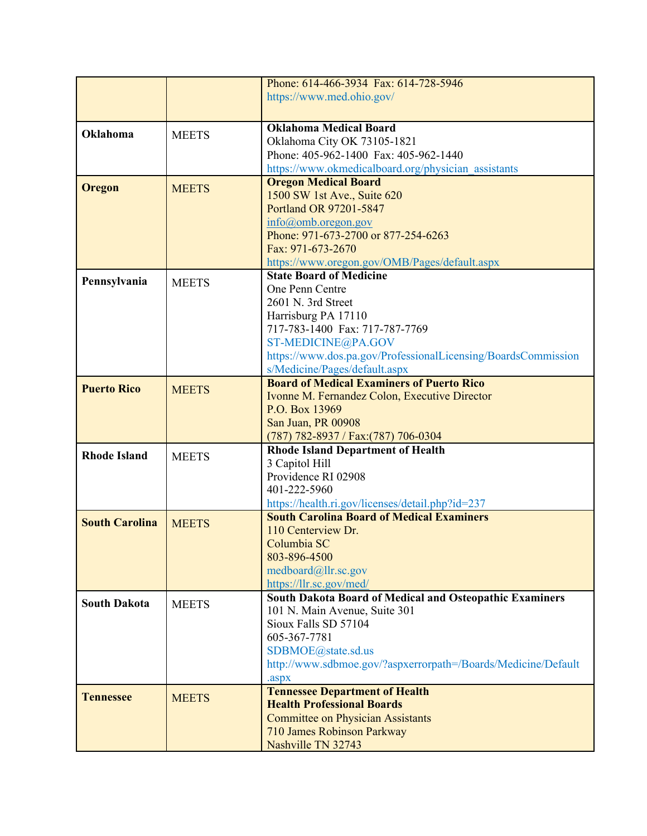|                       |              | Phone: 614-466-3934 Fax: 614-728-5946                          |
|-----------------------|--------------|----------------------------------------------------------------|
|                       |              | https://www.med.ohio.gov/                                      |
|                       |              |                                                                |
|                       |              | <b>Oklahoma Medical Board</b>                                  |
| Oklahoma              | <b>MEETS</b> | Oklahoma City OK 73105-1821                                    |
|                       |              | Phone: 405-962-1400 Fax: 405-962-1440                          |
|                       |              | https://www.okmedicalboard.org/physician assistants            |
|                       |              | <b>Oregon Medical Board</b>                                    |
| Oregon                | <b>MEETS</b> | 1500 SW 1st Ave., Suite 620                                    |
|                       |              | Portland OR 97201-5847                                         |
|                       |              |                                                                |
|                       |              | $info(\omega)$ omb.oregon.gov                                  |
|                       |              | Phone: 971-673-2700 or 877-254-6263                            |
|                       |              | Fax: 971-673-2670                                              |
|                       |              | https://www.oregon.gov/OMB/Pages/default.aspx                  |
| Pennsylvania          | <b>MEETS</b> | <b>State Board of Medicine</b>                                 |
|                       |              | One Penn Centre                                                |
|                       |              | 2601 N. 3rd Street                                             |
|                       |              | Harrisburg PA 17110                                            |
|                       |              | 717-783-1400 Fax: 717-787-7769                                 |
|                       |              | ST-MEDICINE@PA.GOV                                             |
|                       |              | https://www.dos.pa.gov/ProfessionalLicensing/BoardsCommission  |
|                       |              | s/Medicine/Pages/default.aspx                                  |
| <b>Puerto Rico</b>    | <b>MEETS</b> | <b>Board of Medical Examiners of Puerto Rico</b>               |
|                       |              | Ivonne M. Fernandez Colon, Executive Director                  |
|                       |              | P.O. Box 13969                                                 |
|                       |              | San Juan, PR 00908                                             |
|                       |              | (787) 782-8937 / Fax: (787) 706-0304                           |
| <b>Rhode Island</b>   | <b>MEETS</b> | <b>Rhode Island Department of Health</b>                       |
|                       |              | 3 Capitol Hill                                                 |
|                       |              | Providence RI 02908                                            |
|                       |              | 401-222-5960                                                   |
|                       |              | https://health.ri.gov/licenses/detail.php?id=237               |
| <b>South Carolina</b> | <b>MEETS</b> | <b>South Carolina Board of Medical Examiners</b>               |
|                       |              | 110 Centerview Dr.                                             |
|                       |              | Columbia SC                                                    |
|                       |              | 803-896-4500                                                   |
|                       |              | medboard@llr.sc.gov                                            |
|                       |              | https://llr.sc.gov/med/                                        |
| <b>South Dakota</b>   | <b>MEETS</b> | <b>South Dakota Board of Medical and Osteopathic Examiners</b> |
|                       |              | 101 N. Main Avenue, Suite 301                                  |
|                       |              | Sioux Falls SD 57104                                           |
|                       |              | 605-367-7781                                                   |
|                       |              | SDBMOE@state.sd.us                                             |
|                       |              | http://www.sdbmoe.gov/?aspxerrorpath=/Boards/Medicine/Default  |
|                       |              | .aspx                                                          |
| <b>Tennessee</b>      | <b>MEETS</b> | <b>Tennessee Department of Health</b>                          |
|                       |              | <b>Health Professional Boards</b>                              |
|                       |              | <b>Committee on Physician Assistants</b>                       |
|                       |              | 710 James Robinson Parkway                                     |
|                       |              | Nashville TN 32743                                             |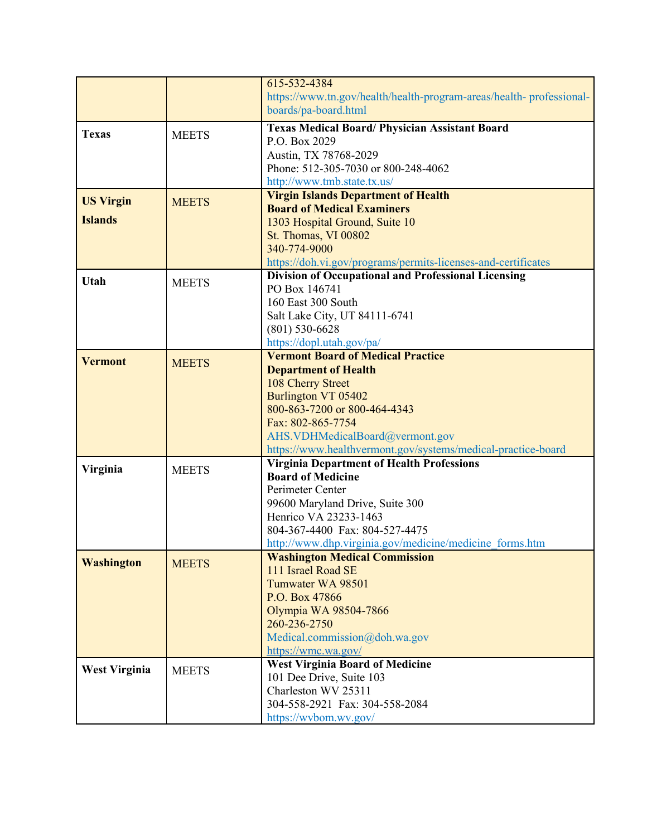|                      |              | 615-532-4384                                                        |
|----------------------|--------------|---------------------------------------------------------------------|
|                      |              | https://www.tn.gov/health/health-program-areas/health-professional- |
|                      |              | boards/pa-board.html                                                |
|                      |              | <b>Texas Medical Board/ Physician Assistant Board</b>               |
| <b>Texas</b>         | <b>MEETS</b> | P.O. Box 2029                                                       |
|                      |              | Austin, TX 78768-2029                                               |
|                      |              | Phone: 512-305-7030 or 800-248-4062                                 |
|                      |              | http://www.tmb.state.tx.us/                                         |
|                      |              | <b>Virgin Islands Department of Health</b>                          |
| <b>US Virgin</b>     | <b>MEETS</b> | <b>Board of Medical Examiners</b>                                   |
| <b>Islands</b>       |              | 1303 Hospital Ground, Suite 10                                      |
|                      |              | St. Thomas, VI 00802                                                |
|                      |              | 340-774-9000                                                        |
|                      |              | https://doh.vi.gov/programs/permits-licenses-and-certificates       |
|                      |              | <b>Division of Occupational and Professional Licensing</b>          |
| Utah                 | <b>MEETS</b> | PO Box 146741                                                       |
|                      |              | 160 East 300 South                                                  |
|                      |              | Salt Lake City, UT 84111-6741                                       |
|                      |              | $(801)$ 530-6628                                                    |
|                      |              | https://dopl.utah.gov/pa/                                           |
|                      |              | <b>Vermont Board of Medical Practice</b>                            |
| <b>Vermont</b>       | <b>MEETS</b> | <b>Department of Health</b>                                         |
|                      |              | 108 Cherry Street                                                   |
|                      |              | Burlington VT 05402                                                 |
|                      |              | 800-863-7200 or 800-464-4343                                        |
|                      |              | Fax: 802-865-7754                                                   |
|                      |              | AHS.VDHMedicalBoard@vermont.gov                                     |
|                      |              | https://www.healthvermont.gov/systems/medical-practice-board        |
|                      |              | <b>Virginia Department of Health Professions</b>                    |
| Virginia             | <b>MEETS</b> | <b>Board of Medicine</b>                                            |
|                      |              | Perimeter Center                                                    |
|                      |              | 99600 Maryland Drive, Suite 300                                     |
|                      |              | Henrico VA 23233-1463                                               |
|                      |              | 804-367-4400 Fax: 804-527-4475                                      |
|                      |              | http://www.dhp.virginia.gov/medicine/medicine forms.htm             |
| <b>Washington</b>    | <b>MEETS</b> | <b>Washington Medical Commission</b>                                |
|                      |              | 111 Israel Road SE                                                  |
|                      |              | Tumwater WA 98501                                                   |
|                      |              | P.O. Box 47866                                                      |
|                      |              | Olympia WA 98504-7866                                               |
|                      |              | 260-236-2750                                                        |
|                      |              | Medical.commission@doh.wa.gov                                       |
|                      |              | https://wmc.wa.gov/                                                 |
| <b>West Virginia</b> | <b>MEETS</b> | <b>West Virginia Board of Medicine</b>                              |
|                      |              | 101 Dee Drive, Suite 103                                            |
|                      |              | Charleston WV 25311                                                 |
|                      |              | 304-558-2921 Fax: 304-558-2084                                      |
|                      |              | https://wvbom.wv.gov/                                               |